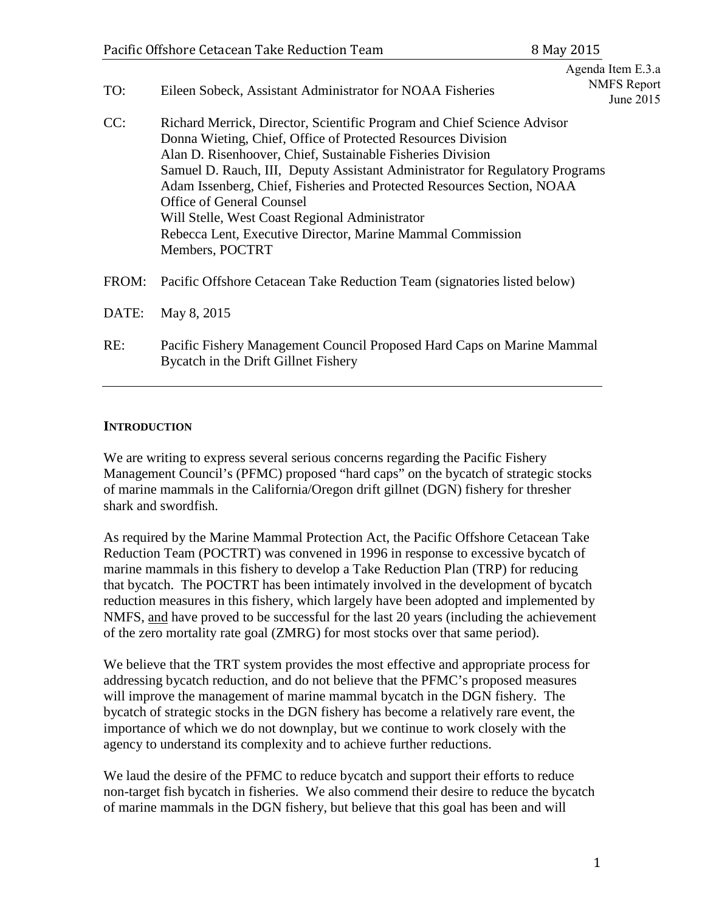| TO:   | Eileen Sobeck, Assistant Administrator for NOAA Fisheries                                                                                                                                                                                                                                                                                                                                                                                                                                                                              | Agenda Item E.3.a<br><b>NMFS</b> Report<br>June 2015 |
|-------|----------------------------------------------------------------------------------------------------------------------------------------------------------------------------------------------------------------------------------------------------------------------------------------------------------------------------------------------------------------------------------------------------------------------------------------------------------------------------------------------------------------------------------------|------------------------------------------------------|
| CC:   | Richard Merrick, Director, Scientific Program and Chief Science Advisor<br>Donna Wieting, Chief, Office of Protected Resources Division<br>Alan D. Risenhoover, Chief, Sustainable Fisheries Division<br>Samuel D. Rauch, III, Deputy Assistant Administrator for Regulatory Programs<br>Adam Issenberg, Chief, Fisheries and Protected Resources Section, NOAA<br><b>Office of General Counsel</b><br>Will Stelle, West Coast Regional Administrator<br>Rebecca Lent, Executive Director, Marine Mammal Commission<br>Members, POCTRT |                                                      |
| FROM: | Pacific Offshore Cetacean Take Reduction Team (signatories listed below)                                                                                                                                                                                                                                                                                                                                                                                                                                                               |                                                      |
| DATE: | May 8, 2015                                                                                                                                                                                                                                                                                                                                                                                                                                                                                                                            |                                                      |
| RE:   | Pacific Fishery Management Council Proposed Hard Caps on Marine Mammal<br>Bycatch in the Drift Gillnet Fishery                                                                                                                                                                                                                                                                                                                                                                                                                         |                                                      |

## **INTRODUCTION**

We are writing to express several serious concerns regarding the Pacific Fishery Management Council's (PFMC) proposed "hard caps" on the bycatch of strategic stocks of marine mammals in the California/Oregon drift gillnet (DGN) fishery for thresher shark and swordfish.

As required by the Marine Mammal Protection Act, the Pacific Offshore Cetacean Take Reduction Team (POCTRT) was convened in 1996 in response to excessive bycatch of marine mammals in this fishery to develop a Take Reduction Plan (TRP) for reducing that bycatch. The POCTRT has been intimately involved in the development of bycatch reduction measures in this fishery, which largely have been adopted and implemented by NMFS, and have proved to be successful for the last 20 years (including the achievement of the zero mortality rate goal (ZMRG) for most stocks over that same period).

We believe that the TRT system provides the most effective and appropriate process for addressing bycatch reduction, and do not believe that the PFMC's proposed measures will improve the management of marine mammal bycatch in the DGN fishery. The bycatch of strategic stocks in the DGN fishery has become a relatively rare event, the importance of which we do not downplay, but we continue to work closely with the agency to understand its complexity and to achieve further reductions.

We laud the desire of the PFMC to reduce bycatch and support their efforts to reduce non-target fish bycatch in fisheries. We also commend their desire to reduce the bycatch of marine mammals in the DGN fishery, but believe that this goal has been and will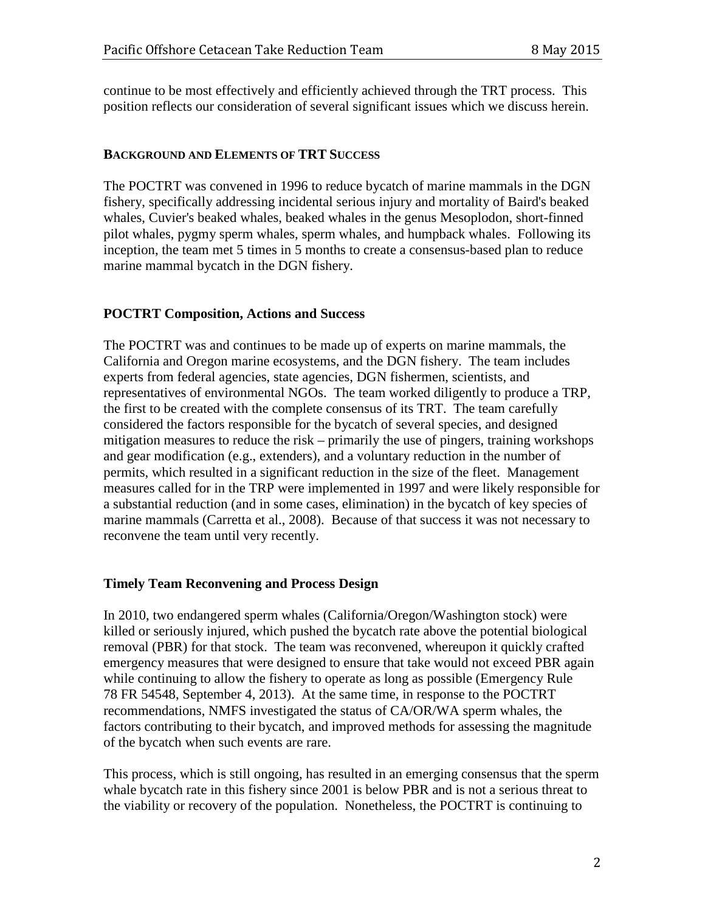continue to be most effectively and efficiently achieved through the TRT process. This position reflects our consideration of several significant issues which we discuss herein.

#### **BACKGROUND AND ELEMENTS OF TRT SUCCESS**

The POCTRT was convened in 1996 to reduce bycatch of marine mammals in the DGN fishery, specifically addressing incidental serious injury and mortality of Baird's beaked whales, Cuvier's beaked whales, beaked whales in the genus Mesoplodon, short-finned pilot whales, pygmy sperm whales, sperm whales, and humpback whales. Following its inception, the team met 5 times in 5 months to create a consensus-based plan to reduce marine mammal bycatch in the DGN fishery.

# **POCTRT Composition, Actions and Success**

The POCTRT was and continues to be made up of experts on marine mammals, the California and Oregon marine ecosystems, and the DGN fishery. The team includes experts from federal agencies, state agencies, DGN fishermen, scientists, and representatives of environmental NGOs. The team worked diligently to produce a TRP, the first to be created with the complete consensus of its TRT. The team carefully considered the factors responsible for the bycatch of several species, and designed mitigation measures to reduce the risk – primarily the use of pingers, training workshops and gear modification (e.g., extenders), and a voluntary reduction in the number of permits, which resulted in a significant reduction in the size of the fleet. Management measures called for in the TRP were implemented in 1997 and were likely responsible for a substantial reduction (and in some cases, elimination) in the bycatch of key species of marine mammals (Carretta et al., 2008). Because of that success it was not necessary to reconvene the team until very recently.

# **Timely Team Reconvening and Process Design**

In 2010, two endangered sperm whales (California/Oregon/Washington stock) were killed or seriously injured, which pushed the bycatch rate above the potential biological removal (PBR) for that stock. The team was reconvened, whereupon it quickly crafted emergency measures that were designed to ensure that take would not exceed PBR again while continuing to allow the fishery to operate as long as possible (Emergency Rule 78 FR 54548, September 4, 2013). At the same time, in response to the POCTRT recommendations, NMFS investigated the status of CA/OR/WA sperm whales, the factors contributing to their bycatch, and improved methods for assessing the magnitude of the bycatch when such events are rare.

This process, which is still ongoing, has resulted in an emerging consensus that the sperm whale bycatch rate in this fishery since 2001 is below PBR and is not a serious threat to the viability or recovery of the population. Nonetheless, the POCTRT is continuing to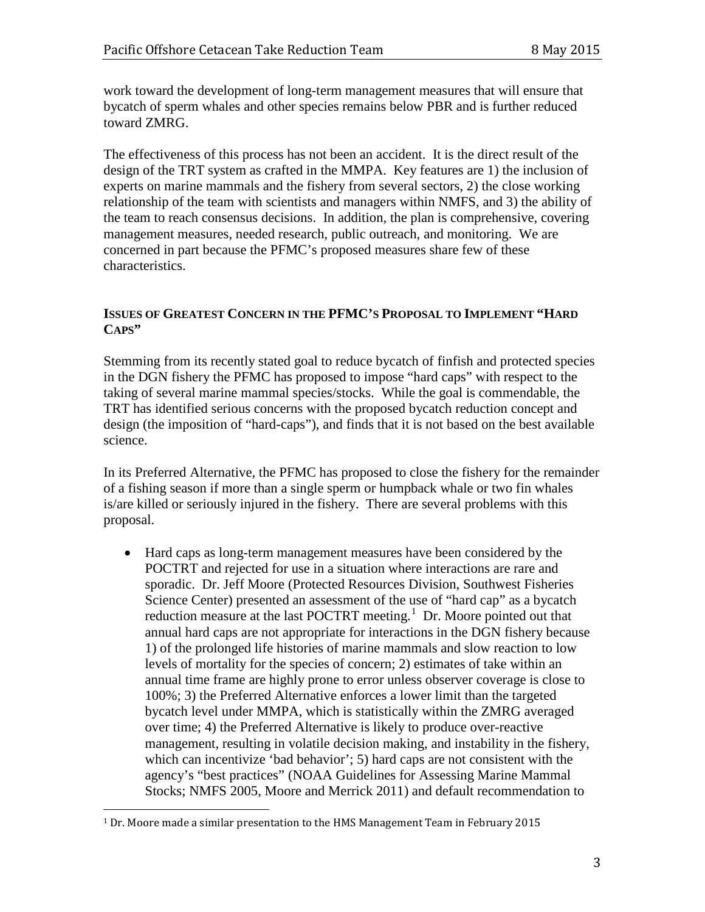work toward the development of long-term management measures that will ensure that bycatch of sperm whales and other species remains below PBR and is further reduced toward ZMRG.

The effectiveness of this process has not been an accident. It is the direct result of the design of the TRT system as crafted in the MMPA. Key features are 1) the inclusion of experts on marine mammals and the fishery from several sectors, 2) the close working relationship of the team with scientists and managers within NMFS, and 3) the ability of the team to reach consensus decisions. In addition, the plan is comprehensive, covering management measures, needed research, public outreach, and monitoring. We are concerned in part because the PFMC's proposed measures share few of these characteristics.

# **ISSUES OF GREATEST CONCERN IN THE PFMC'S PROPOSAL TO IMPLEMENT "HARD CAPS"**

Stemming from its recently stated goal to reduce bycatch of finfish and protected species in the DGN fishery the PFMC has proposed to impose "hard caps" with respect to the taking of several marine mammal species/stocks. While the goal is commendable, the TRT has identified serious concerns with the proposed bycatch reduction concept and design (the imposition of "hard-caps"), and finds that it is not based on the best available science.

In its Preferred Alternative, the PFMC has proposed to close the fishery for the remainder of a fishing season if more than a single sperm or humpback whale or two fin whales is/are killed or seriously injured in the fishery. There are several problems with this proposal.

• Hard caps as long-term management measures have been considered by the POCTRT and rejected for use in a situation where interactions are rare and sporadic. Dr. Jeff Moore (Protected Resources Division, Southwest Fisheries Science Center) presented an assessment of the use of "hard cap" as a bycatch reduction measure at the last POCTRT meeting.<sup>[1](#page-2-0)</sup> Dr. Moore pointed out that annual hard caps are not appropriate for interactions in the DGN fishery because 1) of the prolonged life histories of marine mammals and slow reaction to low levels of mortality for the species of concern; 2) estimates of take within an annual time frame are highly prone to error unless observer coverage is close to 100%; 3) the Preferred Alternative enforces a lower limit than the targeted bycatch level under MMPA, which is statistically within the ZMRG averaged over time; 4) the Preferred Alternative is likely to produce over-reactive management, resulting in volatile decision making, and instability in the fishery, which can incentivize 'bad behavior'; 5) hard caps are not consistent with the agency's "best practices" (NOAA Guidelines for Assessing Marine Mammal Stocks; NMFS 2005, Moore and Merrick 2011) and default recommendation to

<span id="page-2-0"></span> <sup>1</sup> Dr. Moore made a similar presentation to the HMS Management Team in February <sup>2015</sup>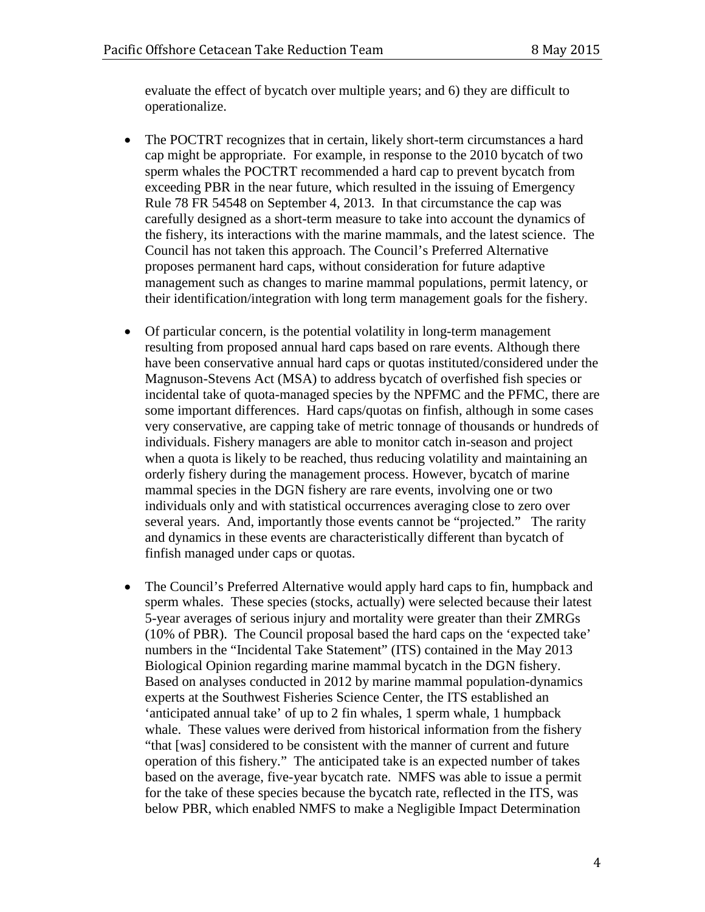evaluate the effect of bycatch over multiple years; and 6) they are difficult to operationalize.

- The POCTRT recognizes that in certain, likely short-term circumstances a hard cap might be appropriate. For example, in response to the 2010 bycatch of two sperm whales the POCTRT recommended a hard cap to prevent bycatch from exceeding PBR in the near future, which resulted in the issuing of Emergency Rule 78 FR 54548 on September 4, 2013. In that circumstance the cap was carefully designed as a short-term measure to take into account the dynamics of the fishery, its interactions with the marine mammals, and the latest science. The Council has not taken this approach. The Council's Preferred Alternative proposes permanent hard caps, without consideration for future adaptive management such as changes to marine mammal populations, permit latency, or their identification/integration with long term management goals for the fishery.
- Of particular concern, is the potential volatility in long-term management resulting from proposed annual hard caps based on rare events. Although there have been conservative annual hard caps or quotas instituted/considered under the Magnuson-Stevens Act (MSA) to address bycatch of overfished fish species or incidental take of quota-managed species by the NPFMC and the PFMC, there are some important differences. Hard caps/quotas on finfish, although in some cases very conservative, are capping take of metric tonnage of thousands or hundreds of individuals. Fishery managers are able to monitor catch in-season and project when a quota is likely to be reached, thus reducing volatility and maintaining an orderly fishery during the management process. However, bycatch of marine mammal species in the DGN fishery are rare events, involving one or two individuals only and with statistical occurrences averaging close to zero over several years. And, importantly those events cannot be "projected." The rarity and dynamics in these events are characteristically different than bycatch of finfish managed under caps or quotas.
- The Council's Preferred Alternative would apply hard caps to fin, humpback and sperm whales. These species (stocks, actually) were selected because their latest 5-year averages of serious injury and mortality were greater than their ZMRGs (10% of PBR). The Council proposal based the hard caps on the 'expected take' numbers in the "Incidental Take Statement" (ITS) contained in the May 2013 Biological Opinion regarding marine mammal bycatch in the DGN fishery. Based on analyses conducted in 2012 by marine mammal population-dynamics experts at the Southwest Fisheries Science Center, the ITS established an 'anticipated annual take' of up to 2 fin whales, 1 sperm whale, 1 humpback whale. These values were derived from historical information from the fishery "that [was] considered to be consistent with the manner of current and future operation of this fishery." The anticipated take is an expected number of takes based on the average, five-year bycatch rate. NMFS was able to issue a permit for the take of these species because the bycatch rate, reflected in the ITS, was below PBR, which enabled NMFS to make a Negligible Impact Determination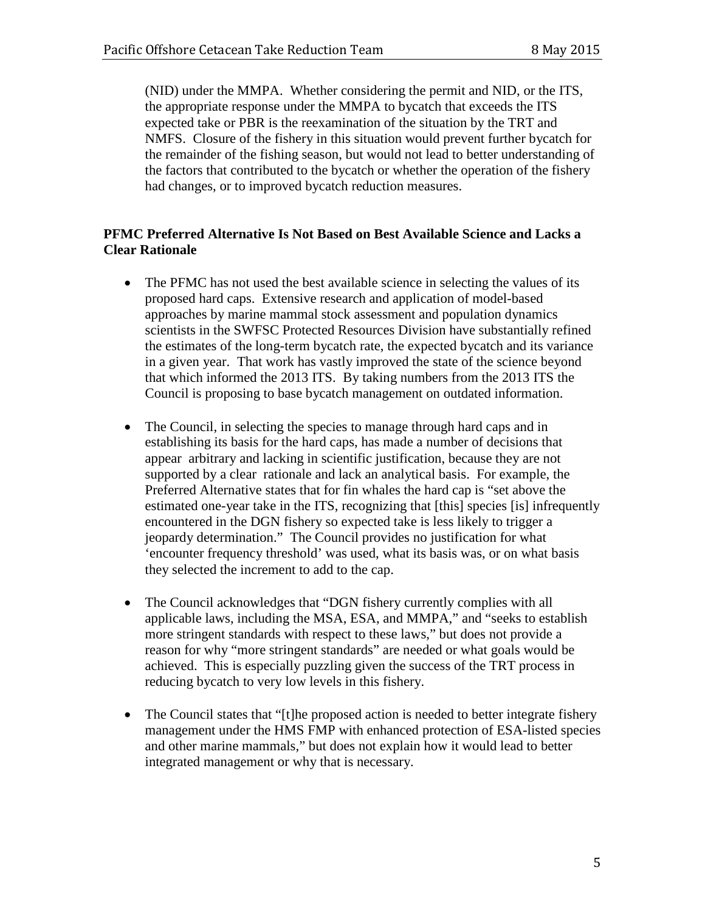(NID) under the MMPA. Whether considering the permit and NID, or the ITS, the appropriate response under the MMPA to bycatch that exceeds the ITS expected take or PBR is the reexamination of the situation by the TRT and NMFS. Closure of the fishery in this situation would prevent further bycatch for the remainder of the fishing season, but would not lead to better understanding of the factors that contributed to the bycatch or whether the operation of the fishery had changes, or to improved bycatch reduction measures.

## **PFMC Preferred Alternative Is Not Based on Best Available Science and Lacks a Clear Rationale**

- The PFMC has not used the best available science in selecting the values of its proposed hard caps. Extensive research and application of model-based approaches by marine mammal stock assessment and population dynamics scientists in the SWFSC Protected Resources Division have substantially refined the estimates of the long-term bycatch rate, the expected bycatch and its variance in a given year. That work has vastly improved the state of the science beyond that which informed the 2013 ITS. By taking numbers from the 2013 ITS the Council is proposing to base bycatch management on outdated information.
- The Council, in selecting the species to manage through hard caps and in establishing its basis for the hard caps, has made a number of decisions that appear arbitrary and lacking in scientific justification, because they are not supported by a clear rationale and lack an analytical basis. For example, the Preferred Alternative states that for fin whales the hard cap is "set above the estimated one-year take in the ITS, recognizing that [this] species [is] infrequently encountered in the DGN fishery so expected take is less likely to trigger a jeopardy determination." The Council provides no justification for what 'encounter frequency threshold' was used, what its basis was, or on what basis they selected the increment to add to the cap.
- The Council acknowledges that "DGN fishery currently complies with all applicable laws, including the MSA, ESA, and MMPA," and "seeks to establish more stringent standards with respect to these laws," but does not provide a reason for why "more stringent standards" are needed or what goals would be achieved. This is especially puzzling given the success of the TRT process in reducing bycatch to very low levels in this fishery.
- The Council states that "[t]he proposed action is needed to better integrate fishery management under the HMS FMP with enhanced protection of ESA-listed species and other marine mammals," but does not explain how it would lead to better integrated management or why that is necessary.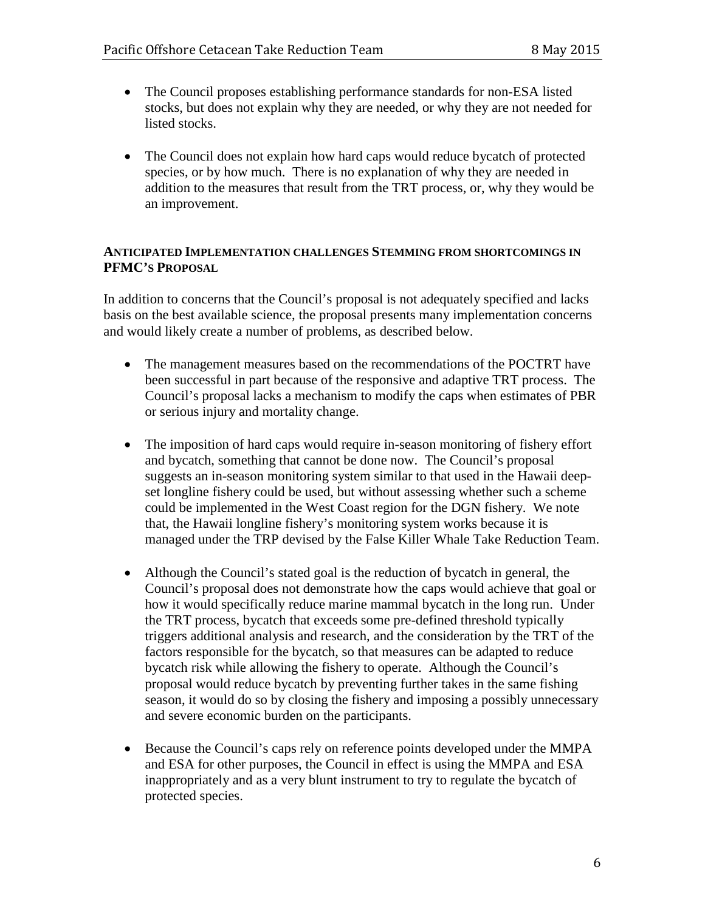- The Council proposes establishing performance standards for non-ESA listed stocks, but does not explain why they are needed, or why they are not needed for listed stocks.
- The Council does not explain how hard caps would reduce bycatch of protected species, or by how much. There is no explanation of why they are needed in addition to the measures that result from the TRT process, or, why they would be an improvement.

#### **ANTICIPATED IMPLEMENTATION CHALLENGES STEMMING FROM SHORTCOMINGS IN PFMC'S PROPOSAL**

In addition to concerns that the Council's proposal is not adequately specified and lacks basis on the best available science, the proposal presents many implementation concerns and would likely create a number of problems, as described below.

- The management measures based on the recommendations of the POCTRT have been successful in part because of the responsive and adaptive TRT process. The Council's proposal lacks a mechanism to modify the caps when estimates of PBR or serious injury and mortality change.
- The imposition of hard caps would require in-season monitoring of fishery effort and bycatch, something that cannot be done now. The Council's proposal suggests an in-season monitoring system similar to that used in the Hawaii deepset longline fishery could be used, but without assessing whether such a scheme could be implemented in the West Coast region for the DGN fishery. We note that, the Hawaii longline fishery's monitoring system works because it is managed under the TRP devised by the False Killer Whale Take Reduction Team.
- Although the Council's stated goal is the reduction of bycatch in general, the Council's proposal does not demonstrate how the caps would achieve that goal or how it would specifically reduce marine mammal bycatch in the long run. Under the TRT process, bycatch that exceeds some pre-defined threshold typically triggers additional analysis and research, and the consideration by the TRT of the factors responsible for the bycatch, so that measures can be adapted to reduce bycatch risk while allowing the fishery to operate. Although the Council's proposal would reduce bycatch by preventing further takes in the same fishing season, it would do so by closing the fishery and imposing a possibly unnecessary and severe economic burden on the participants.
- Because the Council's caps rely on reference points developed under the MMPA and ESA for other purposes, the Council in effect is using the MMPA and ESA inappropriately and as a very blunt instrument to try to regulate the bycatch of protected species.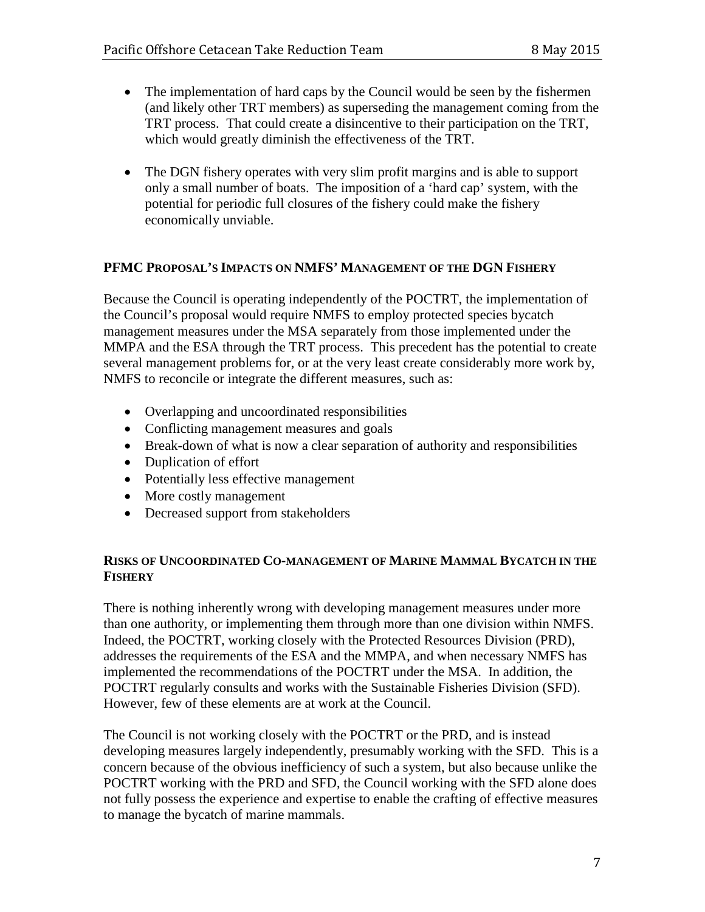- The implementation of hard caps by the Council would be seen by the fishermen (and likely other TRT members) as superseding the management coming from the TRT process. That could create a disincentive to their participation on the TRT, which would greatly diminish the effectiveness of the TRT.
- The DGN fishery operates with very slim profit margins and is able to support only a small number of boats. The imposition of a 'hard cap' system, with the potential for periodic full closures of the fishery could make the fishery economically unviable.

## **PFMC PROPOSAL'S IMPACTS ON NMFS' MANAGEMENT OF THE DGN FISHERY**

Because the Council is operating independently of the POCTRT, the implementation of the Council's proposal would require NMFS to employ protected species bycatch management measures under the MSA separately from those implemented under the MMPA and the ESA through the TRT process. This precedent has the potential to create several management problems for, or at the very least create considerably more work by, NMFS to reconcile or integrate the different measures, such as:

- Overlapping and uncoordinated responsibilities
- Conflicting management measures and goals
- Break-down of what is now a clear separation of authority and responsibilities
- Duplication of effort
- Potentially less effective management
- More costly management
- Decreased support from stakeholders

## **RISKS OF UNCOORDINATED CO-MANAGEMENT OF MARINE MAMMAL BYCATCH IN THE FISHERY**

There is nothing inherently wrong with developing management measures under more than one authority, or implementing them through more than one division within NMFS. Indeed, the POCTRT, working closely with the Protected Resources Division (PRD), addresses the requirements of the ESA and the MMPA, and when necessary NMFS has implemented the recommendations of the POCTRT under the MSA. In addition, the POCTRT regularly consults and works with the Sustainable Fisheries Division (SFD). However, few of these elements are at work at the Council.

The Council is not working closely with the POCTRT or the PRD, and is instead developing measures largely independently, presumably working with the SFD. This is a concern because of the obvious inefficiency of such a system, but also because unlike the POCTRT working with the PRD and SFD, the Council working with the SFD alone does not fully possess the experience and expertise to enable the crafting of effective measures to manage the bycatch of marine mammals.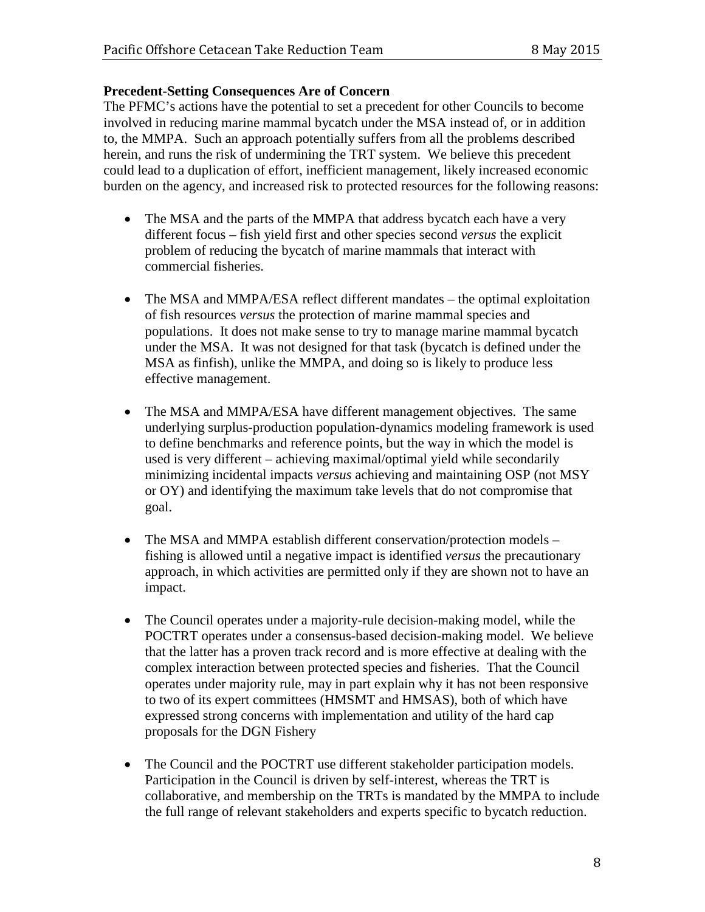## **Precedent-Setting Consequences Are of Concern**

The PFMC's actions have the potential to set a precedent for other Councils to become involved in reducing marine mammal bycatch under the MSA instead of, or in addition to, the MMPA. Such an approach potentially suffers from all the problems described herein, and runs the risk of undermining the TRT system. We believe this precedent could lead to a duplication of effort, inefficient management, likely increased economic burden on the agency, and increased risk to protected resources for the following reasons:

- The MSA and the parts of the MMPA that address bycatch each have a very different focus – fish yield first and other species second *versus* the explicit problem of reducing the bycatch of marine mammals that interact with commercial fisheries.
- The MSA and MMPA/ESA reflect different mandates the optimal exploitation of fish resources *versus* the protection of marine mammal species and populations. It does not make sense to try to manage marine mammal bycatch under the MSA. It was not designed for that task (bycatch is defined under the MSA as finfish), unlike the MMPA, and doing so is likely to produce less effective management.
- The MSA and MMPA/ESA have different management objectives. The same underlying surplus-production population-dynamics modeling framework is used to define benchmarks and reference points, but the way in which the model is used is very different – achieving maximal/optimal yield while secondarily minimizing incidental impacts *versus* achieving and maintaining OSP (not MSY or OY) and identifying the maximum take levels that do not compromise that goal.
- The MSA and MMPA establish different conservation/protection models fishing is allowed until a negative impact is identified *versus* the precautionary approach, in which activities are permitted only if they are shown not to have an impact.
- The Council operates under a majority-rule decision-making model, while the POCTRT operates under a consensus-based decision-making model. We believe that the latter has a proven track record and is more effective at dealing with the complex interaction between protected species and fisheries. That the Council operates under majority rule, may in part explain why it has not been responsive to two of its expert committees (HMSMT and HMSAS), both of which have expressed strong concerns with implementation and utility of the hard cap proposals for the DGN Fishery
- The Council and the POCTRT use different stakeholder participation models. Participation in the Council is driven by self-interest, whereas the TRT is collaborative, and membership on the TRTs is mandated by the MMPA to include the full range of relevant stakeholders and experts specific to bycatch reduction.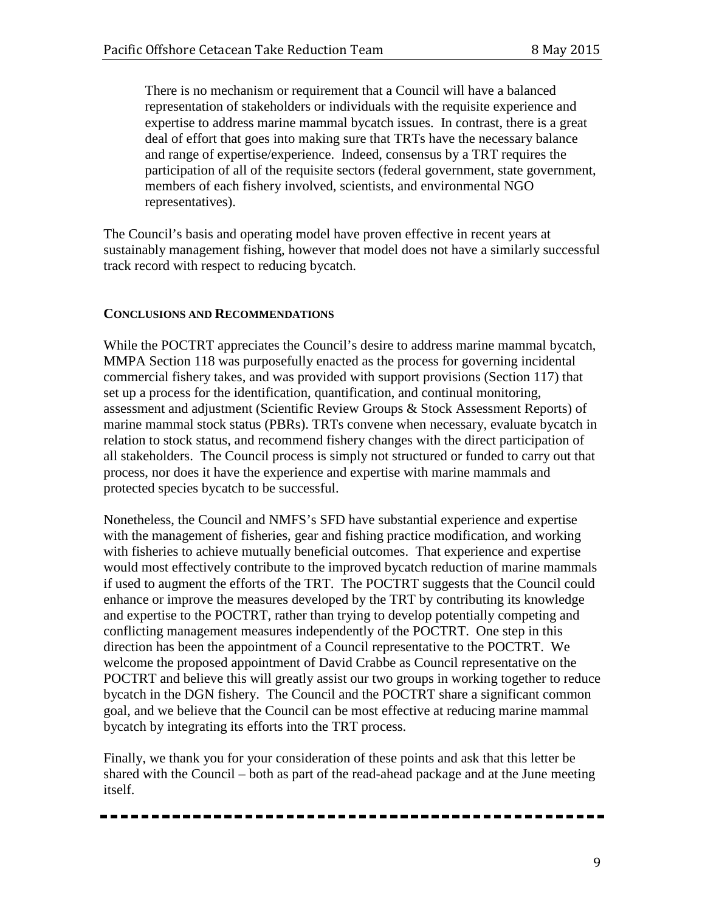There is no mechanism or requirement that a Council will have a balanced representation of stakeholders or individuals with the requisite experience and expertise to address marine mammal bycatch issues. In contrast, there is a great deal of effort that goes into making sure that TRTs have the necessary balance and range of expertise/experience. Indeed, consensus by a TRT requires the participation of all of the requisite sectors (federal government, state government, members of each fishery involved, scientists, and environmental NGO representatives).

The Council's basis and operating model have proven effective in recent years at sustainably management fishing, however that model does not have a similarly successful track record with respect to reducing bycatch.

## **CONCLUSIONS AND RECOMMENDATIONS**

While the POCTRT appreciates the Council's desire to address marine mammal bycatch, MMPA Section 118 was purposefully enacted as the process for governing incidental commercial fishery takes, and was provided with support provisions (Section 117) that set up a process for the identification, quantification, and continual monitoring, assessment and adjustment (Scientific Review Groups & Stock Assessment Reports) of marine mammal stock status (PBRs). TRTs convene when necessary, evaluate bycatch in relation to stock status, and recommend fishery changes with the direct participation of all stakeholders. The Council process is simply not structured or funded to carry out that process, nor does it have the experience and expertise with marine mammals and protected species bycatch to be successful.

Nonetheless, the Council and NMFS's SFD have substantial experience and expertise with the management of fisheries, gear and fishing practice modification, and working with fisheries to achieve mutually beneficial outcomes. That experience and expertise would most effectively contribute to the improved bycatch reduction of marine mammals if used to augment the efforts of the TRT. The POCTRT suggests that the Council could enhance or improve the measures developed by the TRT by contributing its knowledge and expertise to the POCTRT, rather than trying to develop potentially competing and conflicting management measures independently of the POCTRT. One step in this direction has been the appointment of a Council representative to the POCTRT. We welcome the proposed appointment of David Crabbe as Council representative on the POCTRT and believe this will greatly assist our two groups in working together to reduce bycatch in the DGN fishery. The Council and the POCTRT share a significant common goal, and we believe that the Council can be most effective at reducing marine mammal bycatch by integrating its efforts into the TRT process.

Finally, we thank you for your consideration of these points and ask that this letter be shared with the Council – both as part of the read-ahead package and at the June meeting itself.